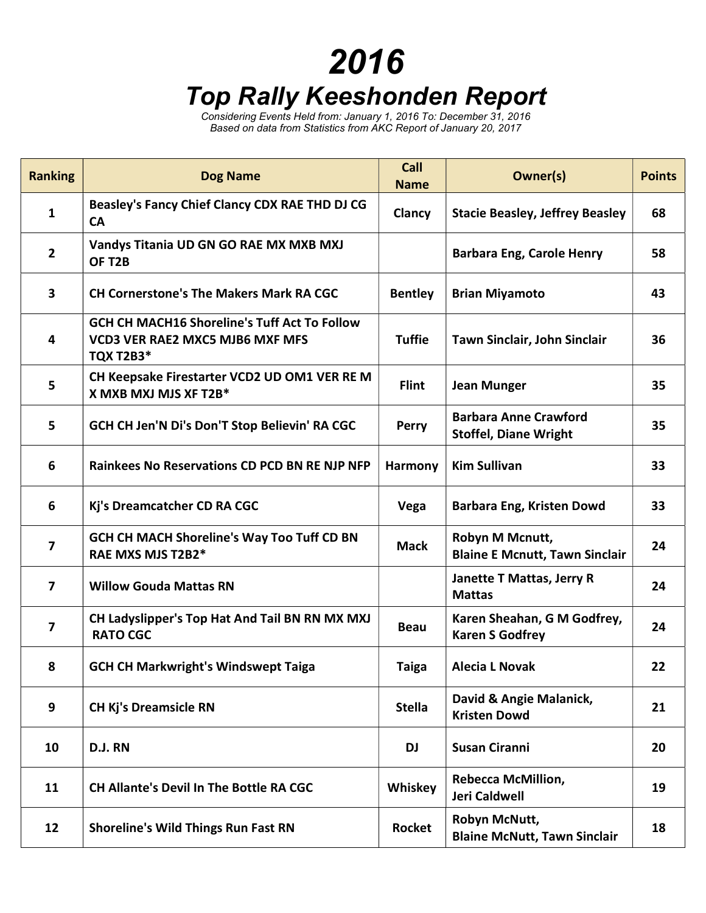## 2016

## Top Rally Keeshonden Report

Considering Events Held from: January 1, 2016 To: December 31, 2016 Based on data from Statistics from AKC Report of January 20, 2017

| <b>Ranking</b>          | <b>Dog Name</b>                                                                                                   | Call<br><b>Name</b> | Owner(s)                                                     | <b>Points</b> |
|-------------------------|-------------------------------------------------------------------------------------------------------------------|---------------------|--------------------------------------------------------------|---------------|
| 1                       | Beasley's Fancy Chief Clancy CDX RAE THD DJ CG<br><b>CA</b>                                                       | Clancy              | <b>Stacie Beasley, Jeffrey Beasley</b>                       | 68            |
| $\mathbf{2}$            | Vandys Titania UD GN GO RAE MX MXB MXJ<br>OF T2B                                                                  |                     | <b>Barbara Eng, Carole Henry</b>                             | 58            |
| 3                       | <b>CH Cornerstone's The Makers Mark RA CGC</b>                                                                    | <b>Bentley</b>      | <b>Brian Miyamoto</b>                                        | 43            |
| 4                       | <b>GCH CH MACH16 Shoreline's Tuff Act To Follow</b><br><b>VCD3 VER RAE2 MXC5 MJB6 MXF MFS</b><br><b>TQX T2B3*</b> | <b>Tuffie</b>       | Tawn Sinclair, John Sinclair                                 | 36            |
| 5                       | CH Keepsake Firestarter VCD2 UD OM1 VER RE M<br>X MXB MXJ MJS XF T2B*                                             | <b>Flint</b>        | <b>Jean Munger</b>                                           | 35            |
| 5                       | GCH CH Jen'N Di's Don'T Stop Believin' RA CGC                                                                     | Perry               | <b>Barbara Anne Crawford</b><br><b>Stoffel, Diane Wright</b> | 35            |
| 6                       | <b>Rainkees No Reservations CD PCD BN RE NJP NFP</b>                                                              | Harmony             | <b>Kim Sullivan</b>                                          | 33            |
| 6                       | Kj's Dreamcatcher CD RA CGC                                                                                       | Vega                | <b>Barbara Eng, Kristen Dowd</b>                             | 33            |
| $\overline{\mathbf{z}}$ | <b>GCH CH MACH Shoreline's Way Too Tuff CD BN</b><br>RAE MXS MJS T2B2*                                            | <b>Mack</b>         | Robyn M Mcnutt,<br><b>Blaine E Mcnutt, Tawn Sinclair</b>     | 24            |
| $\overline{ }$          | <b>Willow Gouda Mattas RN</b>                                                                                     |                     | Janette T Mattas, Jerry R<br><b>Mattas</b>                   | 24            |
| 7                       | CH Ladyslipper's Top Hat And Tail BN RN MX MXJ<br><b>RATO CGC</b>                                                 | <b>Beau</b>         | Karen Sheahan, G M Godfrey,<br><b>Karen S Godfrey</b>        | 24            |
| 8                       | <b>GCH CH Markwright's Windswept Taiga</b>                                                                        | <b>Taiga</b>        | <b>Alecia L Novak</b>                                        | 22            |
| 9                       | <b>CH Kj's Dreamsicle RN</b>                                                                                      | <b>Stella</b>       | David & Angie Malanick,<br><b>Kristen Dowd</b>               | 21            |
| 10                      | D.J. RN                                                                                                           | <b>DJ</b>           | <b>Susan Ciranni</b>                                         | 20            |
| 11                      | <b>CH Allante's Devil In The Bottle RA CGC</b>                                                                    | Whiskey             | <b>Rebecca McMillion,</b><br><b>Jeri Caldwell</b>            | 19            |
| 12                      | <b>Shoreline's Wild Things Run Fast RN</b>                                                                        | Rocket              | Robyn McNutt,<br><b>Blaine McNutt, Tawn Sinclair</b>         | 18            |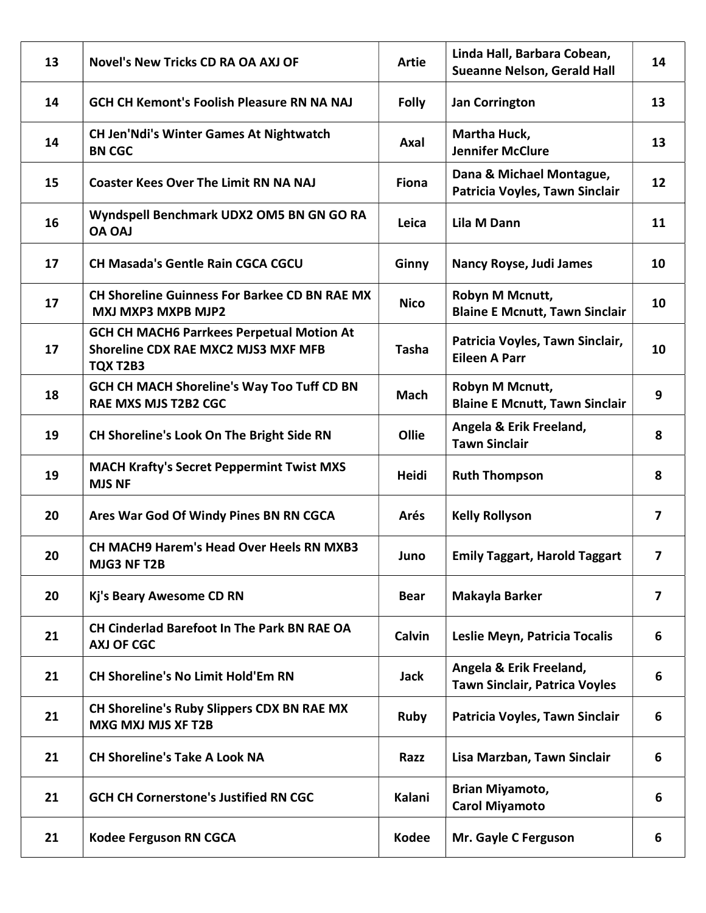| 13 | <b>Novel's New Tricks CD RA OA AXJ OF</b>                                                           | <b>Artie</b> | Linda Hall, Barbara Cobean,<br><b>Sueanne Nelson, Gerald Hall</b> | 14 |
|----|-----------------------------------------------------------------------------------------------------|--------------|-------------------------------------------------------------------|----|
| 14 | <b>GCH CH Kemont's Foolish Pleasure RN NA NAJ</b>                                                   | <b>Folly</b> | <b>Jan Corrington</b>                                             | 13 |
| 14 | <b>CH Jen'Ndi's Winter Games At Nightwatch</b><br><b>BN CGC</b>                                     | Axal         | Martha Huck,<br><b>Jennifer McClure</b>                           | 13 |
| 15 | <b>Coaster Kees Over The Limit RN NA NAJ</b>                                                        | <b>Fiona</b> | Dana & Michael Montague,<br>Patricia Voyles, Tawn Sinclair        | 12 |
| 16 | Wyndspell Benchmark UDX2 OM5 BN GN GO RA<br><b>LAO AO</b>                                           | Leica        | <b>Lila M Dann</b>                                                | 11 |
| 17 | <b>CH Masada's Gentle Rain CGCA CGCU</b>                                                            | Ginny        | <b>Nancy Royse, Judi James</b>                                    | 10 |
| 17 | <b>CH Shoreline Guinness For Barkee CD BN RAE MX</b><br><b>MXJ MXP3 MXPB MJP2</b>                   | <b>Nico</b>  | Robyn M Mcnutt,<br><b>Blaine E Mcnutt, Tawn Sinclair</b>          | 10 |
| 17 | <b>GCH CH MACH6 Parrkees Perpetual Motion At</b><br>Shoreline CDX RAE MXC2 MJS3 MXF MFB<br>TQX T2B3 | <b>Tasha</b> | Patricia Voyles, Tawn Sinclair,<br><b>Eileen A Parr</b>           | 10 |
| 18 | <b>GCH CH MACH Shoreline's Way Too Tuff CD BN</b><br>RAE MXS MJS T2B2 CGC                           | <b>Mach</b>  | Robyn M Mcnutt,<br><b>Blaine E Mcnutt, Tawn Sinclair</b>          | 9  |
| 19 | CH Shoreline's Look On The Bright Side RN                                                           | Ollie        | Angela & Erik Freeland,<br><b>Tawn Sinclair</b>                   | 8  |
| 19 | <b>MACH Krafty's Secret Peppermint Twist MXS</b><br><b>MJS NF</b>                                   | Heidi        | <b>Ruth Thompson</b>                                              | 8  |
| 20 | Ares War God Of Windy Pines BN RN CGCA                                                              | Arés         | <b>Kelly Rollyson</b>                                             | 7  |
| 20 | <b>CH MACH9 Harem's Head Over Heels RN MXB3</b><br>MJG3 NF T2B                                      | Juno         | <b>Emily Taggart, Harold Taggart</b>                              | 7  |
| 20 | Kj's Beary Awesome CD RN                                                                            | <b>Bear</b>  | Makayla Barker                                                    | 7  |
| 21 | CH Cinderlad Barefoot In The Park BN RAE OA<br><b>AXJ OF CGC</b>                                    | Calvin       | Leslie Meyn, Patricia Tocalis                                     | 6  |
| 21 | <b>CH Shoreline's No Limit Hold'Em RN</b>                                                           | Jack         | Angela & Erik Freeland,<br><b>Tawn Sinclair, Patrica Voyles</b>   | 6  |
| 21 | CH Shoreline's Ruby Slippers CDX BN RAE MX<br>MXG MXJ MJS XF T2B                                    | <b>Ruby</b>  | Patricia Voyles, Tawn Sinclair                                    | 6  |
| 21 | <b>CH Shoreline's Take A Look NA</b>                                                                | Razz         | Lisa Marzban, Tawn Sinclair                                       | 6  |
| 21 | <b>GCH CH Cornerstone's Justified RN CGC</b>                                                        | Kalani       | Brian Miyamoto,<br><b>Carol Miyamoto</b>                          | 6  |
| 21 | <b>Kodee Ferguson RN CGCA</b>                                                                       | <b>Kodee</b> | Mr. Gayle C Ferguson                                              | 6  |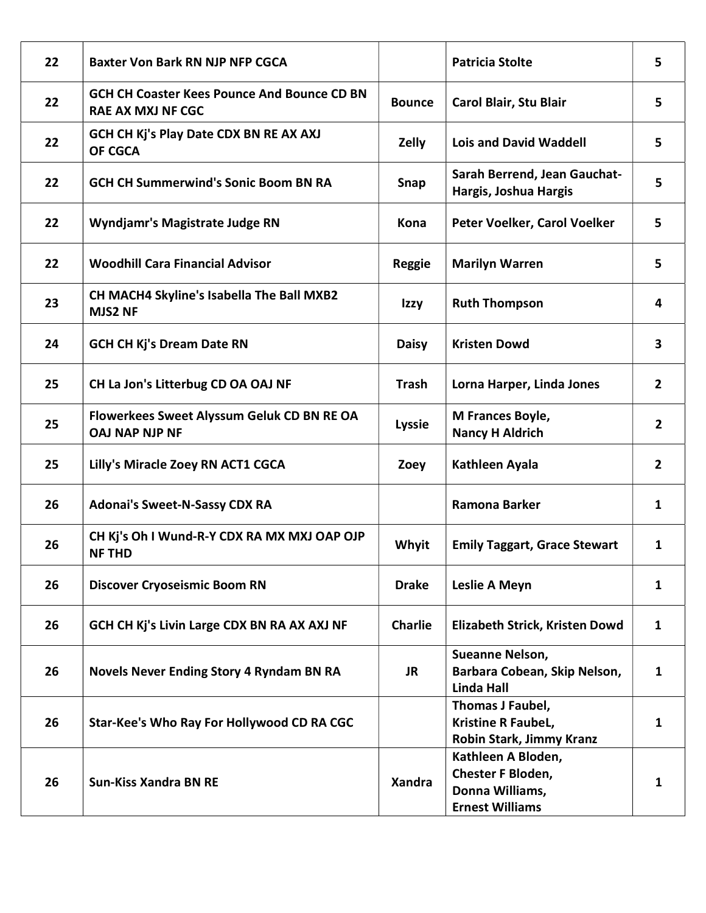| 22 | <b>Baxter Von Bark RN NJP NFP CGCA</b>                                         |                | <b>Patricia Stolte</b>                                                               | 5              |
|----|--------------------------------------------------------------------------------|----------------|--------------------------------------------------------------------------------------|----------------|
| 22 | <b>GCH CH Coaster Kees Pounce And Bounce CD BN</b><br><b>RAE AX MXJ NF CGC</b> | <b>Bounce</b>  | Carol Blair, Stu Blair                                                               | 5              |
| 22 | <b>GCH CH Kj's Play Date CDX BN RE AX AXJ</b><br>OF CGCA                       | Zelly          | <b>Lois and David Waddell</b>                                                        | 5.             |
| 22 | <b>GCH CH Summerwind's Sonic Boom BN RA</b>                                    | Snap           | Sarah Berrend, Jean Gauchat-<br>Hargis, Joshua Hargis                                | 5              |
| 22 | <b>Wyndjamr's Magistrate Judge RN</b>                                          | Kona           | Peter Voelker, Carol Voelker                                                         | 5              |
| 22 | <b>Woodhill Cara Financial Advisor</b>                                         | <b>Reggie</b>  | <b>Marilyn Warren</b>                                                                | 5              |
| 23 | CH MACH4 Skyline's Isabella The Ball MXB2<br><b>MJS2 NF</b>                    | Izzy           | <b>Ruth Thompson</b>                                                                 | 4              |
| 24 | <b>GCH CH Kj's Dream Date RN</b>                                               | <b>Daisy</b>   | <b>Kristen Dowd</b>                                                                  | 3              |
| 25 | CH La Jon's Litterbug CD OA OAJ NF                                             | <b>Trash</b>   | Lorna Harper, Linda Jones                                                            | $\overline{2}$ |
| 25 | Flowerkees Sweet Alyssum Geluk CD BN RE OA<br><b>OAJ NAP NJP NF</b>            | <b>Lyssie</b>  | M Frances Boyle,<br><b>Nancy H Aldrich</b>                                           | $\overline{2}$ |
| 25 | Lilly's Miracle Zoey RN ACT1 CGCA                                              | Zoey           | Kathleen Ayala                                                                       | 2              |
| 26 | <b>Adonai's Sweet-N-Sassy CDX RA</b>                                           |                | Ramona Barker                                                                        | 1              |
| 26 | CH Kj's Oh I Wund-R-Y CDX RA MX MXJ OAP OJP<br><b>NF THD</b>                   | <b>Whyit</b>   | <b>Emily Taggart, Grace Stewart</b>                                                  | 1              |
| 26 | <b>Discover Cryoseismic Boom RN</b>                                            | <b>Drake</b>   | Leslie A Meyn                                                                        | 1              |
| 26 | GCH CH Kj's Livin Large CDX BN RA AX AXJ NF                                    | <b>Charlie</b> | Elizabeth Strick, Kristen Dowd                                                       | 1              |
| 26 | <b>Novels Never Ending Story 4 Ryndam BN RA</b>                                | <b>JR</b>      | Sueanne Nelson,<br>Barbara Cobean, Skip Nelson,<br><b>Linda Hall</b>                 | $\mathbf{1}$   |
| 26 | Star-Kee's Who Ray For Hollywood CD RA CGC                                     |                | Thomas J Faubel,<br>Kristine R FaubeL,<br>Robin Stark, Jimmy Kranz                   | 1              |
| 26 | <b>Sun-Kiss Xandra BN RE</b>                                                   | <b>Xandra</b>  | Kathleen A Bloden,<br>Chester F Bloden,<br>Donna Williams,<br><b>Ernest Williams</b> | 1              |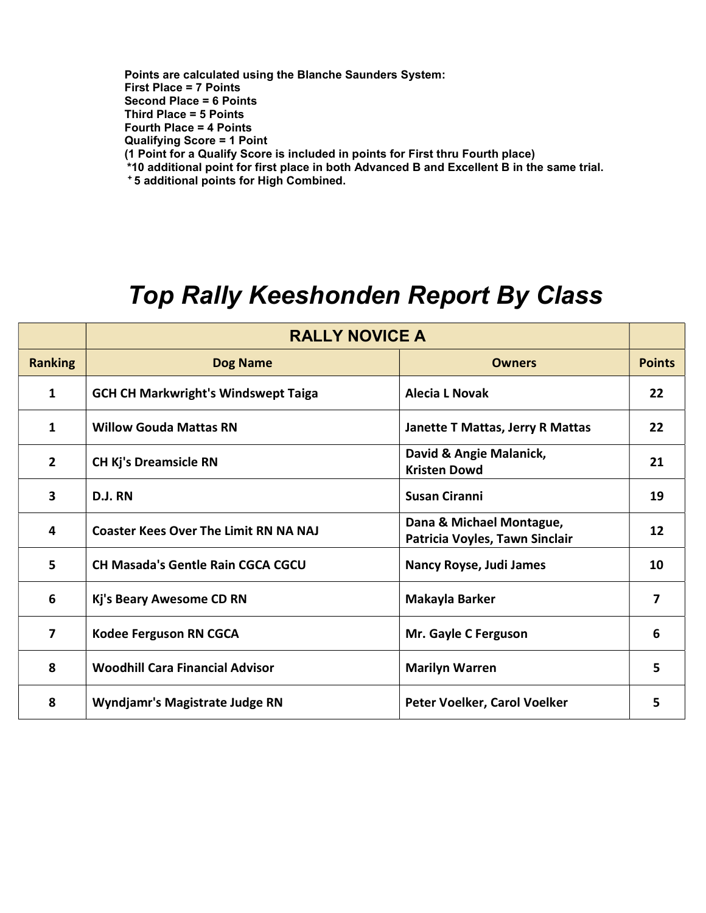Points are calculated using the Blanche Saunders System: First Place = 7 Points Second Place = 6 Points Third Place = 5 Points Fourth Place = 4 Points Qualifying Score = 1 Point (1 Point for a Qualify Score is included in points for First thru Fourth place) \*10 additional point for first place in both Advanced B and Excellent B in the same trial. <sup>+</sup>5 additional points for High Combined.

## Top Rally Keeshonden Report By Class

|                | <b>RALLY NOVICE A</b>                        |                                                            |               |
|----------------|----------------------------------------------|------------------------------------------------------------|---------------|
| <b>Ranking</b> | <b>Dog Name</b>                              | <b>Owners</b>                                              | <b>Points</b> |
| $\mathbf{1}$   | <b>GCH CH Markwright's Windswept Taiga</b>   | <b>Alecia L Novak</b>                                      | 22            |
| 1              | <b>Willow Gouda Mattas RN</b>                | Janette T Mattas, Jerry R Mattas                           | 22            |
| $\overline{2}$ | <b>CH Kj's Dreamsicle RN</b>                 | David & Angie Malanick,<br><b>Kristen Dowd</b>             | 21            |
| 3              | D.J. RN                                      | <b>Susan Ciranni</b>                                       | 19            |
| 4              | <b>Coaster Kees Over The Limit RN NA NAJ</b> | Dana & Michael Montague,<br>Patricia Voyles, Tawn Sinclair | 12            |
| 5              | <b>CH Masada's Gentle Rain CGCA CGCU</b>     | Nancy Royse, Judi James                                    | 10            |
| 6              | Kj's Beary Awesome CD RN                     | Makayla Barker                                             | 7             |
| 7              | <b>Kodee Ferguson RN CGCA</b>                | Mr. Gayle C Ferguson                                       | 6             |
| 8              | <b>Woodhill Cara Financial Advisor</b>       | <b>Marilyn Warren</b>                                      | 5             |
| 8              | <b>Wyndjamr's Magistrate Judge RN</b>        | Peter Voelker, Carol Voelker                               | 5             |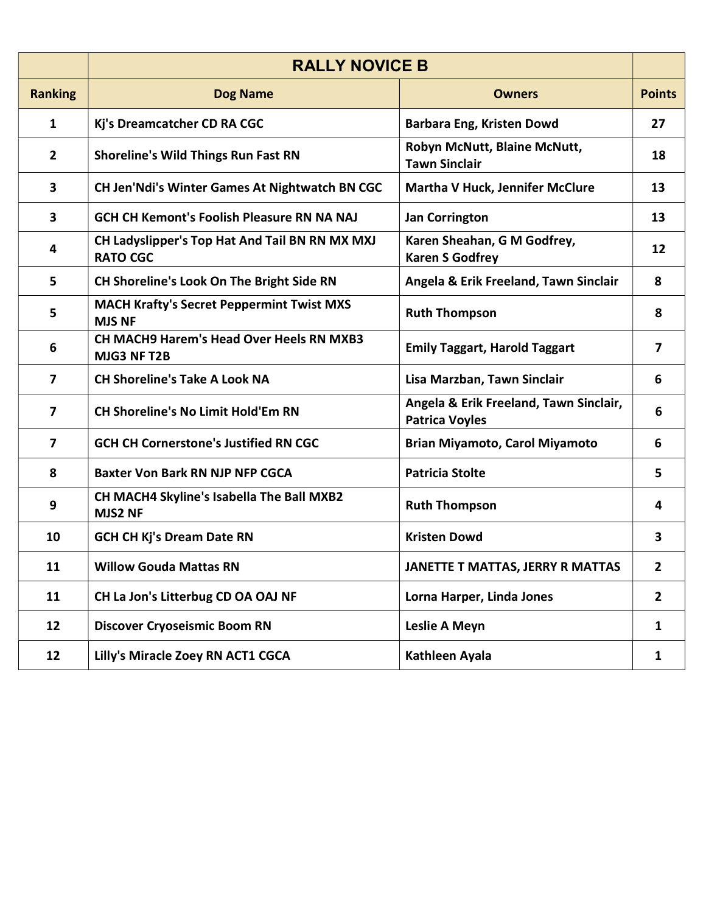|                | <b>RALLY NOVICE B</b>                                             |                                                                 |                         |
|----------------|-------------------------------------------------------------------|-----------------------------------------------------------------|-------------------------|
| <b>Ranking</b> | <b>Dog Name</b>                                                   | <b>Owners</b>                                                   | <b>Points</b>           |
| $\mathbf{1}$   | Kj's Dreamcatcher CD RA CGC                                       | <b>Barbara Eng, Kristen Dowd</b>                                | 27                      |
| $\overline{2}$ | <b>Shoreline's Wild Things Run Fast RN</b>                        | Robyn McNutt, Blaine McNutt,<br><b>Tawn Sinclair</b>            | 18                      |
| 3              | CH Jen'Ndi's Winter Games At Nightwatch BN CGC                    | <b>Martha V Huck, Jennifer McClure</b>                          | 13                      |
| 3              | <b>GCH CH Kemont's Foolish Pleasure RN NA NAJ</b>                 | <b>Jan Corrington</b>                                           | 13                      |
| 4              | CH Ladyslipper's Top Hat And Tail BN RN MX MXJ<br><b>RATO CGC</b> | Karen Sheahan, G M Godfrey,<br><b>Karen S Godfrey</b>           | 12                      |
| 5              | CH Shoreline's Look On The Bright Side RN                         | Angela & Erik Freeland, Tawn Sinclair                           | 8                       |
| 5              | <b>MACH Krafty's Secret Peppermint Twist MXS</b><br><b>MJS NF</b> | <b>Ruth Thompson</b>                                            | 8                       |
| 6              | <b>CH MACH9 Harem's Head Over Heels RN MXB3</b><br>MJG3 NF T2B    | <b>Emily Taggart, Harold Taggart</b>                            | $\overline{\mathbf{z}}$ |
| 7              | <b>CH Shoreline's Take A Look NA</b>                              | Lisa Marzban, Tawn Sinclair                                     | 6                       |
| $\overline{7}$ | <b>CH Shoreline's No Limit Hold'Em RN</b>                         | Angela & Erik Freeland, Tawn Sinclair,<br><b>Patrica Voyles</b> | 6                       |
| $\overline{7}$ | <b>GCH CH Cornerstone's Justified RN CGC</b>                      | <b>Brian Miyamoto, Carol Miyamoto</b>                           | 6                       |
| 8              | <b>Baxter Von Bark RN NJP NFP CGCA</b>                            | <b>Patricia Stolte</b>                                          | 5                       |
| 9              | CH MACH4 Skyline's Isabella The Ball MXB2<br><b>MJS2 NF</b>       | <b>Ruth Thompson</b>                                            | 4                       |
| 10             | <b>GCH CH Kj's Dream Date RN</b>                                  | <b>Kristen Dowd</b>                                             | 3                       |
| 11             | <b>Willow Gouda Mattas RN</b>                                     | JANETTE T MATTAS, JERRY R MATTAS                                | 2                       |
| 11             | CH La Jon's Litterbug CD OA OAJ NF                                | Lorna Harper, Linda Jones                                       | $\overline{2}$          |
| 12             | <b>Discover Cryoseismic Boom RN</b>                               | Leslie A Meyn                                                   | $\mathbf{1}$            |
| 12             | Lilly's Miracle Zoey RN ACT1 CGCA                                 | Kathleen Ayala                                                  | $\mathbf{1}$            |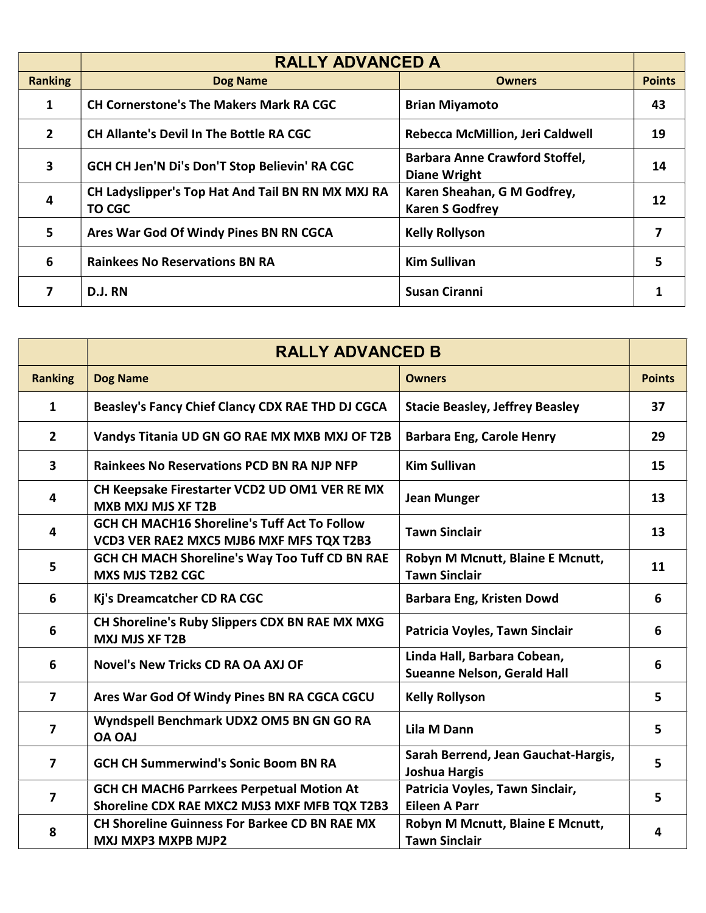|                | <b>RALLY ADVANCED A</b>                                            |                                                              |               |
|----------------|--------------------------------------------------------------------|--------------------------------------------------------------|---------------|
| <b>Ranking</b> | <b>Dog Name</b>                                                    | <b>Owners</b>                                                | <b>Points</b> |
| 1              | <b>CH Cornerstone's The Makers Mark RA CGC</b>                     | <b>Brian Miyamoto</b>                                        | 43            |
| $\overline{2}$ | <b>CH Allante's Devil In The Bottle RA CGC</b>                     | Rebecca McMillion, Jeri Caldwell                             | 19            |
| 3              | GCH CH Jen'N Di's Don'T Stop Believin' RA CGC                      | <b>Barbara Anne Crawford Stoffel,</b><br><b>Diane Wright</b> | 14            |
| 4              | CH Ladyslipper's Top Hat And Tail BN RN MX MXJ RA<br><b>TO CGC</b> | Karen Sheahan, G M Godfrey,<br><b>Karen S Godfrey</b>        | 12            |
| 5              | Ares War God Of Windy Pines BN RN CGCA                             | <b>Kelly Rollyson</b>                                        |               |
| 6              | <b>Rainkees No Reservations BN RA</b>                              | <b>Kim Sullivan</b>                                          | 5             |
| 7              | D.J. RN                                                            | <b>Susan Ciranni</b>                                         |               |

|                | <b>RALLY ADVANCED B</b>                                                                          |                                                                   |               |
|----------------|--------------------------------------------------------------------------------------------------|-------------------------------------------------------------------|---------------|
| <b>Ranking</b> | <b>Dog Name</b>                                                                                  | <b>Owners</b>                                                     | <b>Points</b> |
| $\mathbf{1}$   | Beasley's Fancy Chief Clancy CDX RAE THD DJ CGCA                                                 | <b>Stacie Beasley, Jeffrey Beasley</b>                            | 37            |
| $\mathbf{2}$   | Vandys Titania UD GN GO RAE MX MXB MXJ OF T2B                                                    | <b>Barbara Eng, Carole Henry</b>                                  | 29            |
| $\mathbf{3}$   | <b>Rainkees No Reservations PCD BN RA NJP NFP</b>                                                | <b>Kim Sullivan</b>                                               | 15            |
| 4              | CH Keepsake Firestarter VCD2 UD OM1 VER RE MX<br><b>MXB MXJ MJS XF T2B</b>                       | <b>Jean Munger</b>                                                | 13            |
| 4              | <b>GCH CH MACH16 Shoreline's Tuff Act To Follow</b><br>VCD3 VER RAE2 MXC5 MJB6 MXF MFS TQX T2B3  | <b>Tawn Sinclair</b>                                              | 13            |
| 5              | GCH CH MACH Shoreline's Way Too Tuff CD BN RAE<br>MXS MJS T2B2 CGC                               | Robyn M Mcnutt, Blaine E Mcnutt,<br><b>Tawn Sinclair</b>          | 11            |
| 6              | Kj's Dreamcatcher CD RA CGC                                                                      | Barbara Eng, Kristen Dowd                                         | 6             |
| 6              | CH Shoreline's Ruby Slippers CDX BN RAE MX MXG<br><b>MXJ MJS XF T2B</b>                          | Patricia Voyles, Tawn Sinclair                                    | 6             |
| 6              | <b>Novel's New Tricks CD RA OA AXJ OF</b>                                                        | Linda Hall, Barbara Cobean,<br><b>Sueanne Nelson, Gerald Hall</b> | 6             |
| 7              | Ares War God Of Windy Pines BN RA CGCA CGCU                                                      | <b>Kelly Rollyson</b>                                             | 5             |
| 7              | Wyndspell Benchmark UDX2 OM5 BN GN GO RA<br><b>OA OAJ</b>                                        | <b>Lila M Dann</b>                                                | 5             |
| 7              | <b>GCH CH Summerwind's Sonic Boom BN RA</b>                                                      | Sarah Berrend, Jean Gauchat-Hargis,<br><b>Joshua Hargis</b>       | 5             |
| 7              | <b>GCH CH MACH6 Parrkees Perpetual Motion At</b><br>Shoreline CDX RAE MXC2 MJS3 MXF MFB TQX T2B3 | Patricia Voyles, Tawn Sinclair,<br><b>Eileen A Parr</b>           | 5             |
| 8              | <b>CH Shoreline Guinness For Barkee CD BN RAE MX</b><br><b>MXJ MXP3 MXPB MJP2</b>                | Robyn M Mcnutt, Blaine E Mcnutt,<br><b>Tawn Sinclair</b>          | 4             |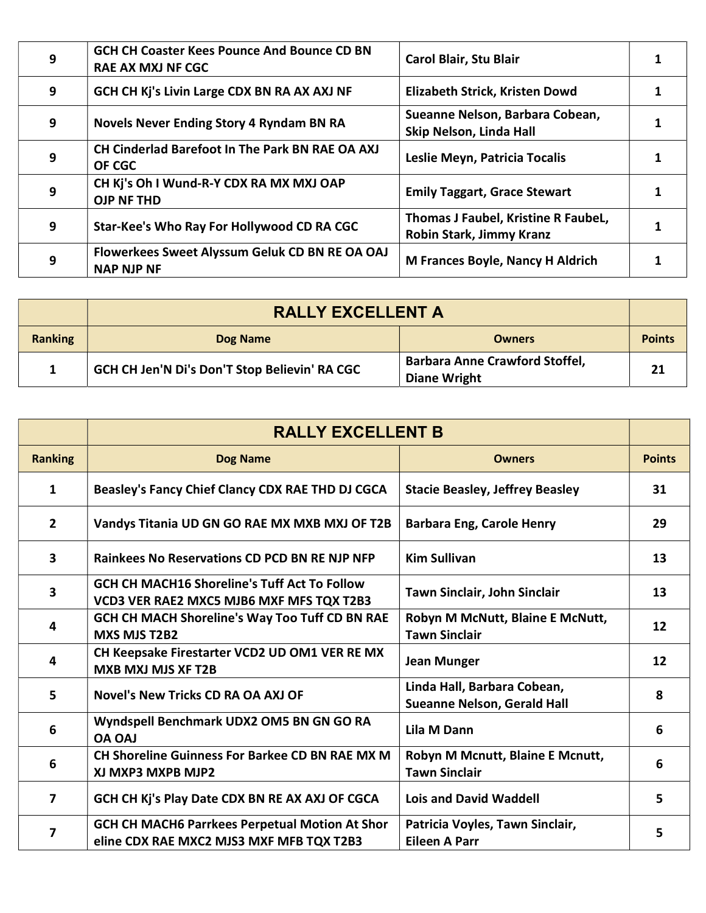| 9 | <b>GCH CH Coaster Kees Pounce And Bounce CD BN</b><br><b>RAE AX MXJ NF CGC</b> | <b>Carol Blair, Stu Blair</b>                                   |  |
|---|--------------------------------------------------------------------------------|-----------------------------------------------------------------|--|
| 9 | GCH CH Kj's Livin Large CDX BN RA AX AXJ NF                                    | Elizabeth Strick, Kristen Dowd                                  |  |
| 9 | <b>Novels Never Ending Story 4 Ryndam BN RA</b>                                | Sueanne Nelson, Barbara Cobean,<br>Skip Nelson, Linda Hall      |  |
| 9 | CH Cinderlad Barefoot In The Park BN RAE OA AXJ<br>OF CGC                      | Leslie Meyn, Patricia Tocalis                                   |  |
| 9 | CH Kj's Oh I Wund-R-Y CDX RA MX MXJ OAP<br><b>OJP NF THD</b>                   | <b>Emily Taggart, Grace Stewart</b>                             |  |
| 9 | Star-Kee's Who Ray For Hollywood CD RA CGC                                     | Thomas J Faubel, Kristine R FaubeL,<br>Robin Stark, Jimmy Kranz |  |
| 9 | Flowerkees Sweet Alyssum Geluk CD BN RE OA OAJ<br><b>NAP NJP NF</b>            | <b>M Frances Boyle, Nancy H Aldrich</b>                         |  |

|                | <b>RALLY EXCELLENT A</b>                      |                                                              |               |
|----------------|-----------------------------------------------|--------------------------------------------------------------|---------------|
| <b>Ranking</b> | Dog Name                                      | <b>Owners</b>                                                | <b>Points</b> |
|                | GCH CH Jen'N Di's Don'T Stop Believin' RA CGC | <b>Barbara Anne Crawford Stoffel,</b><br><b>Diane Wright</b> | 21            |

|                         | <b>RALLY EXCELLENT B</b>                                                                          |                                                                   |               |
|-------------------------|---------------------------------------------------------------------------------------------------|-------------------------------------------------------------------|---------------|
| <b>Ranking</b>          | <b>Dog Name</b>                                                                                   | <b>Owners</b>                                                     | <b>Points</b> |
| 1                       | Beasley's Fancy Chief Clancy CDX RAE THD DJ CGCA                                                  | <b>Stacie Beasley, Jeffrey Beasley</b>                            | 31            |
| $\overline{2}$          | Vandys Titania UD GN GO RAE MX MXB MXJ OF T2B                                                     | <b>Barbara Eng, Carole Henry</b>                                  | 29            |
| $\overline{\mathbf{3}}$ | <b>Rainkees No Reservations CD PCD BN RE NJP NFP</b>                                              | <b>Kim Sullivan</b>                                               | 13            |
| 3                       | <b>GCH CH MACH16 Shoreline's Tuff Act To Follow</b><br>VCD3 VER RAE2 MXC5 MJB6 MXF MFS TQX T2B3   | Tawn Sinclair, John Sinclair                                      | 13            |
| 4                       | <b>GCH CH MACH Shoreline's Way Too Tuff CD BN RAE</b><br><b>MXS MJS T2B2</b>                      | Robyn M McNutt, Blaine E McNutt,<br><b>Tawn Sinclair</b>          | 12            |
| 4                       | CH Keepsake Firestarter VCD2 UD OM1 VER RE MX<br><b>MXB MXJ MJS XF T2B</b>                        | <b>Jean Munger</b>                                                | 12            |
| 5                       | Novel's New Tricks CD RA OA AXJ OF                                                                | Linda Hall, Barbara Cobean,<br><b>Sueanne Nelson, Gerald Hall</b> | 8             |
| 6                       | Wyndspell Benchmark UDX2 OM5 BN GN GO RA<br><b>OA OAJ</b>                                         | Lila M Dann                                                       | 6             |
| 6                       | <b>CH Shoreline Guinness For Barkee CD BN RAE MX M</b><br>XJ MXP3 MXPB MJP2                       | Robyn M Mcnutt, Blaine E Mcnutt,<br><b>Tawn Sinclair</b>          | 6             |
| $\mathbf{7}$            | GCH CH Kj's Play Date CDX BN RE AX AXJ OF CGCA                                                    | <b>Lois and David Waddell</b>                                     | 5             |
| 7                       | <b>GCH CH MACH6 Parrkees Perpetual Motion At Shor</b><br>eline CDX RAE MXC2 MJS3 MXF MFB TQX T2B3 | Patricia Voyles, Tawn Sinclair,<br><b>Eileen A Parr</b>           | 5             |